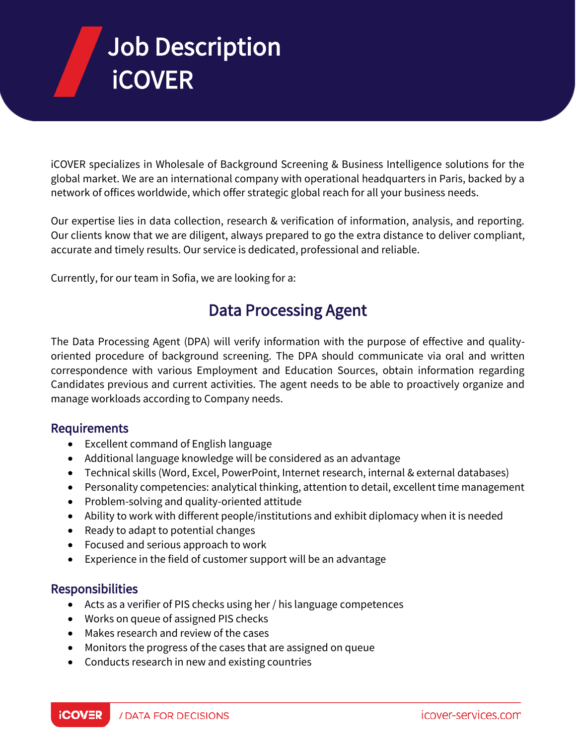# Job Description iCOVER

iCOVER specializes in Wholesale of Background Screening & Business Intelligence solutions for the global market. We are an international company with operational headquarters in Paris, backed by a network of offices worldwide, which offer strategic global reach for all your business needs.

Our expertise lies in data collection, research & verification of information, analysis, and reporting. Our clients know that we are diligent, always prepared to go the extra distance to deliver compliant, accurate and timely results. Our service is dedicated, professional and reliable.

Currently, for our team in Sofia, we are looking for a:

## Data Processing Agent

The Data Processing Аgent (DPA) will verify information with the purpose of effective and qualityoriented procedure of background screening. The DPA should communicate via oral and written correspondence with various Employment and Education Sources, obtain information regarding Candidates previous and current activities. The agent needs to be able to proactively organize and manage workloads according to Company needs.

#### Requirements

- Excellent command of English language
- Additional language knowledge will be considered as an advantage
- Technical skills (Word, Excel, PowerPoint, Internet research, internal & external databases)
- Personality competencies: analytical thinking, attention to detail, excellent time management
- Problem-solving and quality-oriented attitude
- Ability to work with different people/institutions and exhibit diplomacy when it is needed
- Ready to adapt to potential changes
- Focused and serious approach to work
- Experience in the field of customer support will be an advantage

#### Responsibilities

- Acts as a verifier of PIS checks using her / his language competences
- Works on queue of assigned PIS checks
- Makes research and review of the cases
- Monitors the progress of the cases that are assigned on queue
- Conducts research in new and existing countries